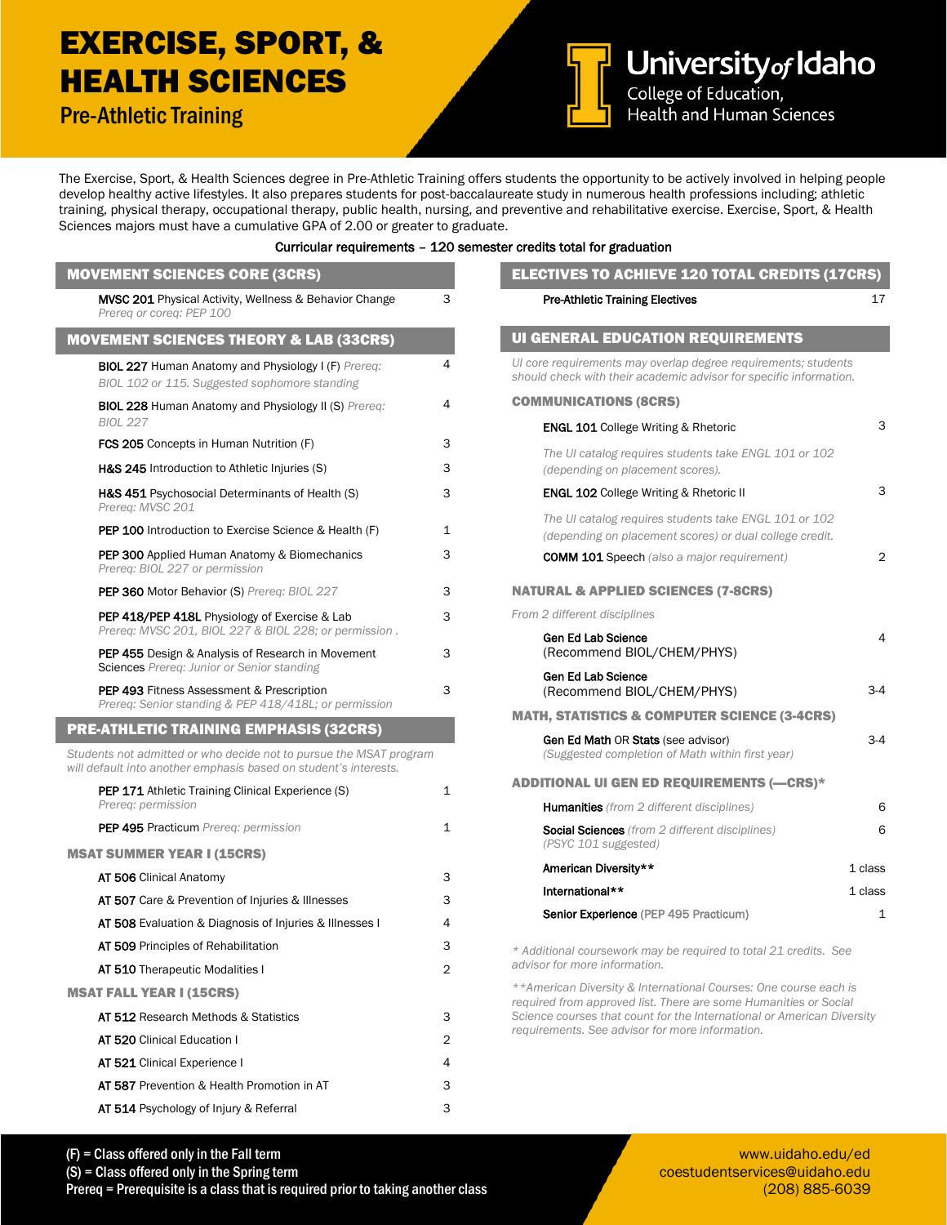## EXERCISE, SPORT, & HEALTH SCIENCES

Pre-Athletic Training



University of Idaho Health and Human Sciences

The Exercise, Sport, & Health Sciences degree in Pre-Athletic Training offers students the opportunity to be actively involved in helping people develop healthy active lifestyles. It also prepares students for post-baccalaureate study in numerous health professions including; athletic training, physical therapy, occupational therapy, public health, nursing, and preventive and rehabilitative exercise. Exercise, Sport, & Health Sciences majors must have a cumulative GPA of 2.00 or greater to graduate.

## Curricular requirements – 120 semester credits total for graduation

| <b>MOVEMENT SCIENCES CORE (3CRS)</b>                                                                                                   |              | <b>ELECTIVES TO ACHIEVE 120 TOTAL CREDITS (17CRS)</b>                                                                                |              |  |
|----------------------------------------------------------------------------------------------------------------------------------------|--------------|--------------------------------------------------------------------------------------------------------------------------------------|--------------|--|
| MVSC 201 Physical Activity, Wellness & Behavior Change<br>Prereg or coreg: PEP 100                                                     | 3            | <b>Pre-Athletic Training Electives</b>                                                                                               | 17           |  |
| <b>MOVEMENT SCIENCES THEORY &amp; LAB (33CRS)</b>                                                                                      |              | <b>UI GENERAL EDUCATION REQUIREMENTS</b>                                                                                             |              |  |
| <b>BIOL 227 Human Anatomy and Physiology I (F) Prereg:</b><br>BIOL 102 or 115. Suggested sophomore standing                            | 4            | Ul core requirements may overlap degree requirements; students<br>should check with their academic advisor for specific information. |              |  |
| <b>BIOL 228 Human Anatomy and Physiology II (S) Prereq:</b>                                                                            | 4            | <b>COMMUNICATIONS (8CRS)</b>                                                                                                         |              |  |
| <b>BIOL 227</b>                                                                                                                        |              | <b>ENGL 101 College Writing &amp; Rhetoric</b>                                                                                       | 3            |  |
| FCS 205 Concepts in Human Nutrition (F)                                                                                                | 3            | The UI catalog requires students take ENGL 101 or 102                                                                                |              |  |
| H&S 245 Introduction to Athletic Injuries (S)                                                                                          | 3            | (depending on placement scores).                                                                                                     |              |  |
| H&S 451 Psychosocial Determinants of Health (S)<br>Prereq: MVSC 201                                                                    | 3            | <b>ENGL 102 College Writing &amp; Rhetoric II</b>                                                                                    | 3            |  |
| <b>PEP 100</b> Introduction to Exercise Science & Health (F)                                                                           | 1            | The UI catalog requires students take ENGL 101 or 102<br>(depending on placement scores) or dual college credit.                     |              |  |
| <b>PEP 300</b> Applied Human Anatomy & Biomechanics<br>Prereg: BIOL 227 or permission                                                  | 3            | <b>COMM 101 Speech</b> (also a major requirement)                                                                                    | 2            |  |
| <b>PEP 360 Motor Behavior (S) Prereg: BIOL 227</b>                                                                                     | 3            | <b>NATURAL &amp; APPLIED SCIENCES (7-8CRS)</b>                                                                                       |              |  |
| <b>PEP 418/PEP 418L</b> Physiology of Exercise & Lab<br>Prereg: MVSC 201, BIOL 227 & BIOL 228; or permission.                          | 3            | From 2 different disciplines                                                                                                         |              |  |
| <b>PEP 455</b> Design & Analysis of Research in Movement                                                                               | 3            | <b>Gen Ed Lab Science</b><br>(Recommend BIOL/CHEM/PHYS)                                                                              | 4            |  |
| Sciences Prereg: Junior or Senior standing<br>PEP 493 Fitness Assessment & Prescription                                                | 3            | Gen Ed Lab Science<br>(Recommend BIOL/CHEM/PHYS)                                                                                     | $3-4$        |  |
| Prereq: Senior standing & PEP 418/418L; or permission                                                                                  |              | <b>MATH, STATISTICS &amp; COMPUTER SCIENCE (3-4CRS)</b>                                                                              |              |  |
| <b>PRE-ATHLETIC TRAINING EMPHASIS (32CRS)</b>                                                                                          |              | <b>Gen Ed Math OR Stats (see advisor)</b>                                                                                            | $3-4$        |  |
| Students not admitted or who decide not to pursue the MSAT program<br>will default into another emphasis based on student's interests. |              | (Suggested completion of Math within first year)                                                                                     |              |  |
| <b>PEP 171</b> Athletic Training Clinical Experience (S)                                                                               | $\mathbf{1}$ | <b>ADDITIONAL UI GEN ED REQUIREMENTS (-CRS)*</b>                                                                                     |              |  |
| Prereq: permission                                                                                                                     |              | <b>Humanities</b> (from 2 different disciplines)                                                                                     | 6            |  |
| PEP 495 Practicum Prereq: permission                                                                                                   | 1            | <b>Social Sciences</b> (from 2 different disciplines)<br>(PSYC 101 suggested)                                                        | 6            |  |
| <b>MSAT SUMMER YEAR I (15CRS)</b>                                                                                                      |              | American Diversity**                                                                                                                 | 1 class      |  |
| AT 506 Clinical Anatomy                                                                                                                | 3            | International**                                                                                                                      | 1 class      |  |
| AT 507 Care & Prevention of Injuries & Illnesses                                                                                       | 3            | Senior Experience (PEP 495 Practicum)                                                                                                | $\mathbf{1}$ |  |
| AT 508 Evaluation & Diagnosis of Injuries & Illnesses I                                                                                | 4            |                                                                                                                                      |              |  |
| AT 509 Principles of Rehabilitation                                                                                                    | 3            | * Additional coursework may be required to total 21 credits. See                                                                     |              |  |
| AT 510 Therapeutic Modalities I                                                                                                        | 2            | advisor for more information.                                                                                                        |              |  |
| <b>MSAT FALL YEAR I (15CRS)</b>                                                                                                        |              | **American Diversity & International Courses: One course each is<br>required from approved list. There are some Humanities or Social |              |  |
| AT 512 Research Methods & Statistics                                                                                                   | 3            | Science courses that count for the International or American Diversity                                                               |              |  |
| AT 520 Clinical Education I                                                                                                            | 2            | requirements. See advisor for more information.                                                                                      |              |  |
| AT 521 Clinical Experience I                                                                                                           | 4            |                                                                                                                                      |              |  |
| AT 587 Prevention & Health Promotion in AT                                                                                             | 3            |                                                                                                                                      |              |  |
| AT 514 Psychology of Injury & Referral                                                                                                 | 3            |                                                                                                                                      |              |  |